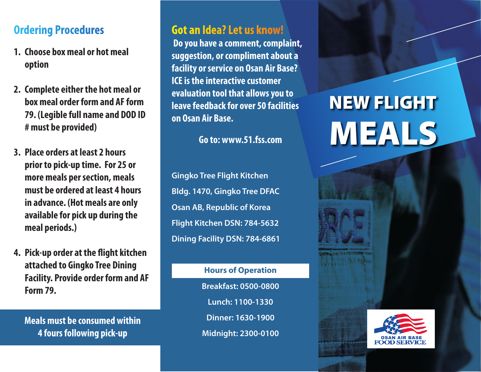## **Ordering Procedures**

- **1. Choose box meal or hot meal option**
- **2. Complete either the hot meal or box meal order form and AF form 79. (Legible full name and DOD ID # must be provided)**
- **3. Place orders at least 2 hours prior to pick-up time. For 25 or more meals per section, meals must be ordered at least 4 hours in advance. (Hot meals are only available for pick up during the meal periods.)**
- **4. Pick-up order at the flight kitchen attached to Gingko Tree Dining Facility. Provide order form and AF Form 79.**

**Meals must be consumed within 4 fours following pick-up**

## **Got an Idea? Let us know!**

 **Do you have a comment, complaint, suggestion, or compliment about a facility or service on Osan Air Base? ICE is the interactive customer evaluation tool that allows you to leave feedback for over 50 facilities on Osan Air Base.**

**Go to: www.51.fss.com**

**Gingko Tree Flight Kitchen Bldg. 1470, Gingko Tree DFAC Osan AB, Republic of Korea Flight Kitchen DSN: 784-5632 Dining Facility DSN: 784-6861**

> **Hours of Operation Breakfast: 0500-0800 Lunch: 1100-1330 Dinner: 1630-1900 Midnight: 2300-0100**

# NEW FLIGHT MEALS